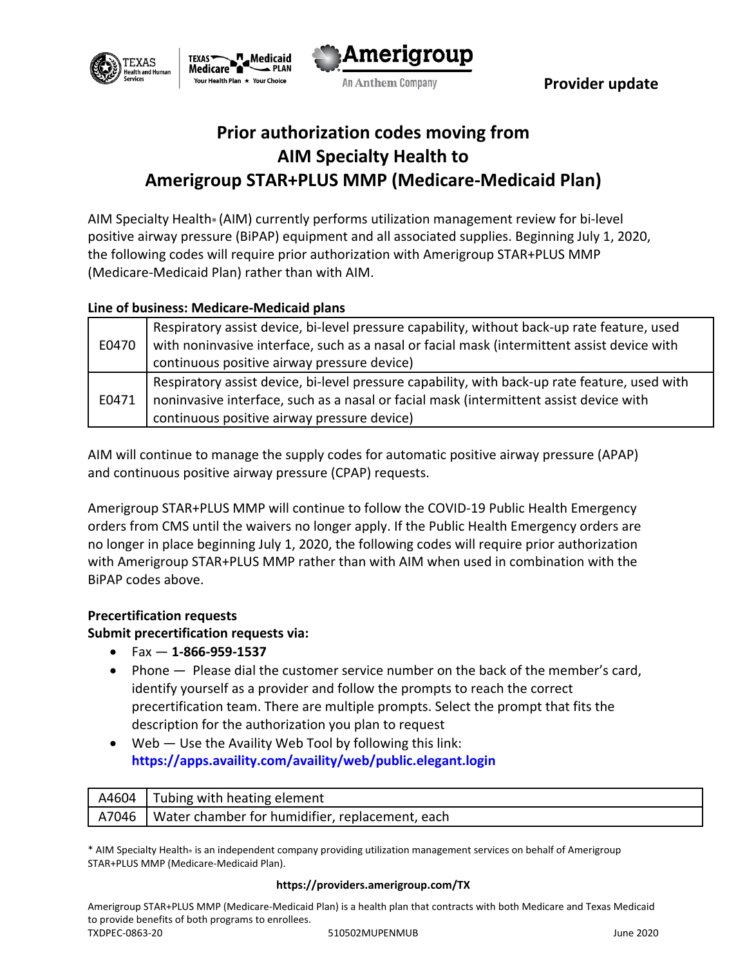





An Anthem Company **Example 2 Report Service Company** 

# **Prior authorization codes moving from AIM Specialty Health to Amerigroup STAR+PLUS MMP (Medicare-Medicaid Plan)**

AIM Specialty Health® (AIM) currently performs utilization management review for bi-level positive airway pressure (BiPAP) equipment and all associated supplies. Beginning July 1, 2020, the following codes will require prior authorization with Amerigroup STAR+PLUS MMP (Medicare-Medicaid Plan) rather than with AIM.

## **Line of business: Medicare-Medicaid plans**

| E0470 | Respiratory assist device, bi-level pressure capability, without back-up rate feature, used<br>with noninvasive interface, such as a nasal or facial mask (intermittent assist device with |
|-------|--------------------------------------------------------------------------------------------------------------------------------------------------------------------------------------------|
|       | continuous positive airway pressure device)                                                                                                                                                |
| E0471 | Respiratory assist device, bi-level pressure capability, with back-up rate feature, used with                                                                                              |
|       | noninvasive interface, such as a nasal or facial mask (intermittent assist device with                                                                                                     |
|       | continuous positive airway pressure device)                                                                                                                                                |

AIM will continue to manage the supply codes for automatic positive airway pressure (APAP) and continuous positive airway pressure (CPAP) requests.

Amerigroup STAR+PLUS MMP will continue to follow the COVID-19 Public Health Emergency orders from CMS until the waivers no longer apply. If the Public Health Emergency orders are no longer in place beginning July 1, 2020, the following codes will require prior authorization with Amerigroup STAR+PLUS MMP rather than with AIM when used in combination with the BiPAP codes above.

### **Precertification requests**

### **Submit precertification requests via:**

- Fax **1-866-959-1537**
- Phone Please dial the customer service number on the back of the member's card, identify yourself as a provider and follow the prompts to reach the correct precertification team. There are multiple prompts. Select the prompt that fits the description for the authorization you plan to request
- $\bullet$  Web  $-$  Use the Availity Web Tool by following this link: **<https://apps.availity.com/availity/web/public.elegant.login>**

| A4604 | <b>I</b> Tubing with heating element              |
|-------|---------------------------------------------------|
| A7046 | I Water chamber for humidifier, replacement, each |

\* AIM Specialty Health® is an independent company providing utilization management services on behalf of Amerigroup STAR+PLUS MMP (Medicare-Medicaid Plan).

#### **https://providers.amerigroup.com/TX**

Amerigroup STAR+PLUS MMP (Medicare-Medicaid Plan) is a health plan that contracts with both Medicare and Texas Medicaid to provide benefits of both programs to enrollees. TXDPEC-0863-20 510502MUPENMUB June 2020